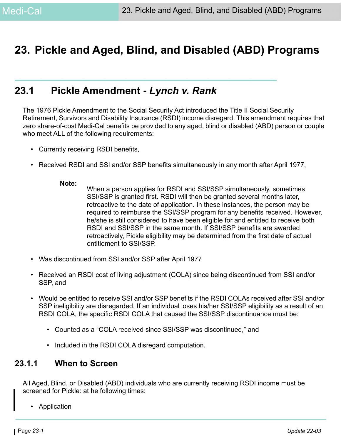## **23. Pickle and Aged, Blind, and Disabled (ABD) Programs**

## **23.1 Pickle Amendment -** *Lynch v. Rank*

The 1976 Pickle Amendment to the Social Security Act introduced the Title II Social Security Retirement, Survivors and Disability Insurance (RSDI) income disregard. This amendment requires that zero share-of-cost Medi-Cal benefits be provided to any aged, blind or disabled (ABD) person or couple who meet ALL of the following requirements:

- Currently receiving RSDI benefits,
- Received RSDI and SSI and/or SSP benefits simultaneously in any month after April 1977,

#### **Note:**

- When a person applies for RSDI and SSI/SSP simultaneously, sometimes SSI/SSP is granted first. RSDI will then be granted several months later, retroactive to the date of application. In these instances, the person may be required to reimburse the SSI/SSP program for any benefits received. However, he/she is still considered to have been eligible for and entitled to receive both RSDI and SSI/SSP in the same month. If SSI/SSP benefits are awarded retroactively, Pickle eligibility may be determined from the first date of actual entitlement to SSI/SSP.
- Was discontinued from SSI and/or SSP after April 1977
- Received an RSDI cost of living adjustment (COLA) since being discontinued from SSI and/or SSP, and
- Would be entitled to receive SSI and/or SSP benefits if the RSDI COLAs received after SSI and/or SSP ineligibility are disregarded. If an individual loses his/her SSI/SSP eligibility as a result of an RSDI COLA, the specific RSDI COLA that caused the SSI/SSP discontinuance must be:
	- Counted as a "COLA received since SSI/SSP was discontinued," and
	- Included in the RSDI COLA disregard computation.

### **23.1.1 When to Screen**

All Aged, Blind, or Disabled (ABD) individuals who are currently receiving RSDI income must be screened for Pickle: at he following times:

• Application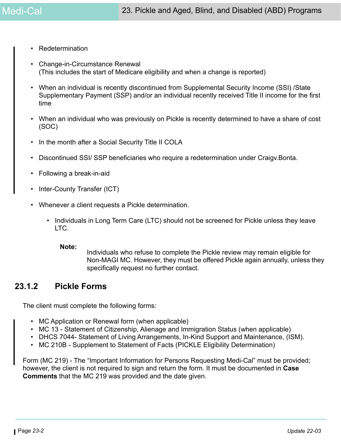- **Redetermination**
- Change-in-Circumstance Renewal (This includes the start of Medicare eligibility and when a change is reported)
- When an individual is recently discontinued from Supplemental Security Income (SSI) / State Supplementary Payment (SSP) and/or an individual recently received Title II income for the first time
- When an individual who was previously on Pickle is recently determined to have a share of cost (SOC)
- In the month after a Social Security Title II COLA
- Discontinued SSI/ SSP beneficiaries who require a redetermination under Craigv.Bonta.
- Following a break-in-aid
- Inter-County Transfer (ICT)
- Whenever a client requests a Pickle determination.
	- Individuals in Long Term Care (LTC) should not be screened for Pickle unless they leave LTC.

**Note:**

Individuals who refuse to complete the Pickle review may remain eligible for Non-MAGI MC. However, they must be offered Pickle again annually, unless they specifically request no further contact.

### **23.1.2 Pickle Forms**

The client must complete the following forms:

- MC Application or Renewal form (when applicable)
- MC 13 Statement of Citizenship, Alienage and Immigration Status (when applicable)
- DHCS 7044- Statement of Living Arrangements, In-Kind Support and Maintenance, (ISM).
- MC 210B Supplement to Statement of Facts (PICKLE Eligibility Determination)

Form (MC 219) - The "Important Information for Persons Requesting Medi-Cal" must be provided; however, the client is not required to sign and return the form. It must be documented in **Case Comments** that the MC 219 was provided and the date given.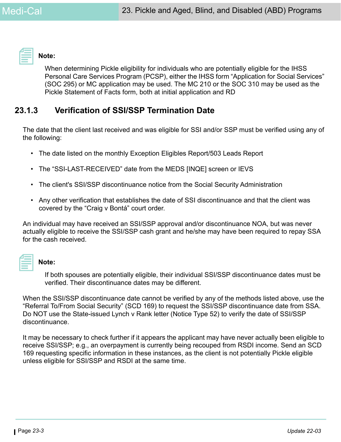

#### **Note:**

When determining Pickle eligibility for individuals who are potentially eligible for the IHSS Personal Care Services Program (PCSP), either the IHSS form "Application for Social Services" (SOC 295) or MC application may be used. The MC 210 or the SOC 310 may be used as the Pickle Statement of Facts form, both at initial application and RD

### <span id="page-2-0"></span>**23.1.3 Verification of SSI/SSP Termination Date**

The date that the client last received and was eligible for SSI and/or SSP must be verified using any of the following:

- The date listed on the monthly Exception Eligibles Report/503 Leads Report
- The "SSI-LAST-RECEIVED" date from the MEDS [INQE] screen or IEVS
- The client's SSI/SSP discontinuance notice from the Social Security Administration
- Any other verification that establishes the date of SSI discontinuance and that the client was covered by the "Craig v Bontá" court order.

An individual may have received an SSI/SSP approval and/or discontinuance NOA, but was never actually eligible to receive the SSI/SSP cash grant and he/she may have been required to repay SSA for the cash received.

**Note:** 

If both spouses are potentially eligible, their individual SSI/SSP discontinuance dates must be verified. Their discontinuance dates may be different.

When the SSI/SSP discontinuance date cannot be verified by any of the methods listed above, use the "Referral To/From Social Security" (SCD 169) to request the SSI/SSP discontinuance date from SSA. Do NOT use the State-issued Lynch v Rank letter (Notice Type 52) to verify the date of SSI/SSP discontinuance.

It may be necessary to check further if it appears the applicant may have never actually been eligible to receive SSI/SSP; e.g., an overpayment is currently being recouped from RSDI income. Send an SCD 169 requesting specific information in these instances, as the client is not potentially Pickle eligible unless eligible for SSI/SSP and RSDI at the same time.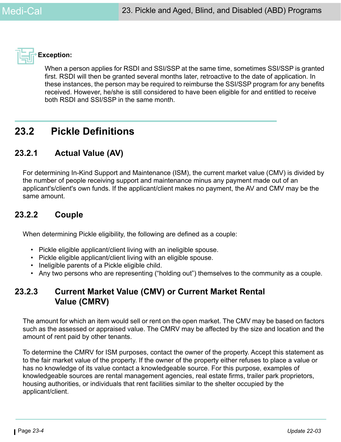

### **Exception:**

When a person applies for RSDI and SSI/SSP at the same time, sometimes SSI/SSP is granted first. RSDI will then be granted several months later, retroactive to the date of application. In these instances, the person may be required to reimburse the SSI/SSP program for any benefits received. However, he/she is still considered to have been eligible for and entitled to receive both RSDI and SSI/SSP in the same month.

## **23.2 Pickle Definitions**

### **23.2.1 Actual Value (AV)**

<span id="page-3-0"></span>For determining In-Kind Support and Maintenance (ISM), the current market value (CMV) is divided by the number of people receiving support and maintenance minus any payment made out of an applicant's/client's own funds. If the applicant/client makes no payment, the AV and CMV may be the same amount.

### **23.2.2 Couple**

When determining Pickle eligibility, the following are defined as a couple:

- Pickle eligible applicant/client living with an ineligible spouse.
- Pickle eligible applicant/client living with an eligible spouse.
- Ineligible parents of a Pickle eligible child.
- Any two persons who are representing ("holding out") themselves to the community as a couple.

### **23.2.3 Current Market Value (CMV) or Current Market Rental Value (CMRV)**

The amount for which an item would sell or rent on the open market. The CMV may be based on factors such as the assessed or appraised value. The CMRV may be affected by the size and location and the amount of rent paid by other tenants.

To determine the CMRV for ISM purposes, contact the owner of the property. Accept this statement as to the fair market value of the property. If the owner of the property either refuses to place a value or has no knowledge of its value contact a knowledgeable source. For this purpose, examples of knowledgeable sources are rental management agencies, real estate firms, trailer park proprietors, housing authorities, or individuals that rent facilities similar to the shelter occupied by the applicant/client.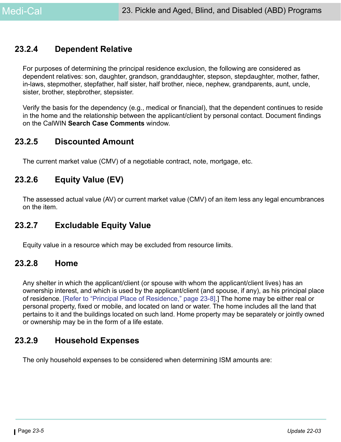### <span id="page-4-1"></span>**23.2.4 Dependent Relative**

For purposes of determining the principal residence exclusion, the following are considered as dependent relatives: son, daughter, grandson, granddaughter, stepson, stepdaughter, mother, father, in-laws, stepmother, stepfather, half sister, half brother, niece, nephew, grandparents, aunt, uncle, sister, brother, stepbrother, stepsister.

Verify the basis for the dependency (e.g., medical or financial), that the dependent continues to reside in the home and the relationship between the applicant/client by personal contact. Document findings on the CalWIN **Search Case Comments** window.

### **23.2.5 Discounted Amount**

The current market value (CMV) of a negotiable contract, note, mortgage, etc.

### **23.2.6 Equity Value (EV)**

The assessed actual value (AV) or current market value (CMV) of an item less any legal encumbrances on the item.

### **23.2.7 Excludable Equity Value**

Equity value in a resource which may be excluded from resource limits.

### <span id="page-4-0"></span>**23.2.8 Home**

Any shelter in which the applicant/client (or spouse with whom the applicant/client lives) has an ownership interest, and which is used by the applicant/client (and spouse, if any), as his principal place of residence. [\[Refer to "Principal Place of Residence," page 23-8\]](#page-7-0).] The home may be either real or personal property, fixed or mobile, and located on land or water. The home includes all the land that pertains to it and the buildings located on such land. Home property may be separately or jointly owned or ownership may be in the form of a life estate.

### <span id="page-4-2"></span>**23.2.9 Household Expenses**

The only household expenses to be considered when determining ISM amounts are: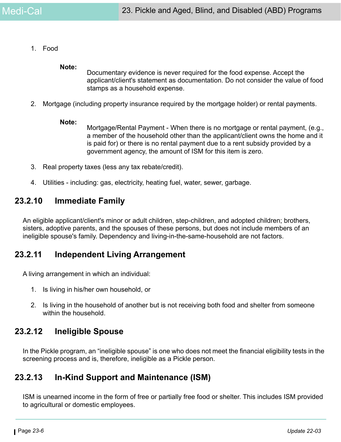1. Food

#### **Note:**

Documentary evidence is never required for the food expense. Accept the applicant/client's statement as documentation. Do not consider the value of food stamps as a household expense.

2. Mortgage (including property insurance required by the mortgage holder) or rental payments.

#### **Note:**

Mortgage/Rental Payment - When there is no mortgage or rental payment, (e.g., a member of the household other than the applicant/client owns the home and it is paid for) or there is no rental payment due to a rent subsidy provided by a government agency, the amount of ISM for this item is zero.

- 3. Real property taxes (less any tax rebate/credit).
- 4. Utilities including: gas, electricity, heating fuel, water, sewer, garbage.

### **23.2.10 Immediate Family**

An eligible applicant/client's minor or adult children, step-children, and adopted children; brothers, sisters, adoptive parents, and the spouses of these persons, but does not include members of an ineligible spouse's family. Dependency and living-in-the-same-household are not factors.

### **23.2.11 Independent Living Arrangement**

A living arrangement in which an individual:

- 1. Is living in his/her own household, or
- 2. Is living in the household of another but is not receiving both food and shelter from someone within the household.

### **23.2.12 Ineligible Spouse**

In the Pickle program, an "ineligible spouse" is one who does not meet the financial eligibility tests in the screening process and is, therefore, ineligible as a Pickle person.

### **23.2.13 In-Kind Support and Maintenance (ISM)**

ISM is unearned income in the form of free or partially free food or shelter. This includes ISM provided to agricultural or domestic employees.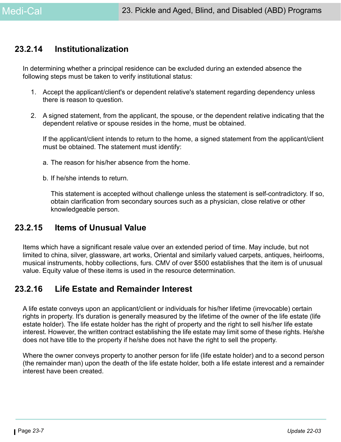### <span id="page-6-0"></span>**23.2.14 Institutionalization**

In determining whether a principal residence can be excluded during an extended absence the following steps must be taken to verify institutional status:

- 1. Accept the applicant/client's or dependent relative's statement regarding dependency unless there is reason to question.
- 2. A signed statement, from the applicant, the spouse, or the dependent relative indicating that the dependent relative or spouse resides in the home, must be obtained.

If the applicant/client intends to return to the home, a signed statement from the applicant/client must be obtained. The statement must identify:

- a. The reason for his/her absence from the home.
- b. If he/she intends to return.

This statement is accepted without challenge unless the statement is self-contradictory. If so, obtain clarification from secondary sources such as a physician, close relative or other knowledgeable person.

### **23.2.15 Items of Unusual Value**

Items which have a significant resale value over an extended period of time. May include, but not limited to china, silver, glassware, art works, Oriental and similarly valued carpets, antiques, heirlooms, musical instruments, hobby collections, furs. CMV of over \$500 establishes that the item is of unusual value. Equity value of these items is used in the resource determination.

### **23.2.16 Life Estate and Remainder Interest**

A life estate conveys upon an applicant/client or individuals for his/her lifetime (irrevocable) certain rights in property. It's duration is generally measured by the lifetime of the owner of the life estate (life estate holder). The life estate holder has the right of property and the right to sell his/her life estate interest. However, the written contract establishing the life estate may limit some of these rights. He/she does not have title to the property if he/she does not have the right to sell the property.

Where the owner conveys property to another person for life (life estate holder) and to a second person (the remainder man) upon the death of the life estate holder, both a life estate interest and a remainder interest have been created.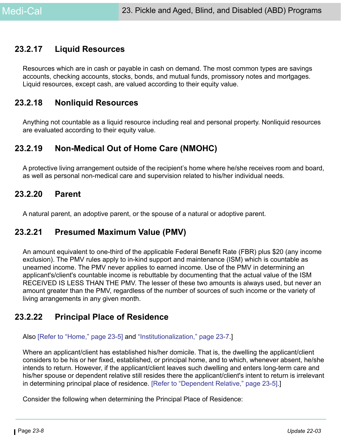### **23.2.17 Liquid Resources**

Resources which are in cash or payable in cash on demand. The most common types are savings accounts, checking accounts, stocks, bonds, and mutual funds, promissory notes and mortgages. Liquid resources, except cash, are valued according to their equity value.

### **23.2.18 Nonliquid Resources**

Anything not countable as a liquid resource including real and personal property. Nonliquid resources are evaluated according to their equity value.

### **23.2.19 Non-Medical Out of Home Care (NMOHC)**

A protective living arrangement outside of the recipient's home where he/she receives room and board, as well as personal non-medical care and supervision related to his/her individual needs.

### **23.2.20 Parent**

A natural parent, an adoptive parent, or the spouse of a natural or adoptive parent.

### **23.2.21 Presumed Maximum Value (PMV)**

An amount equivalent to one-third of the applicable Federal Benefit Rate (FBR) plus \$20 (any income exclusion). The PMV rules apply to in-kind support and maintenance (ISM) which is countable as unearned income. The PMV never applies to earned income. Use of the PMV in determining an applicant's/client's countable income is rebuttable by documenting that the actual value of the ISM RECEIVED IS LESS THAN THE PMV. The lesser of these two amounts is always used, but never an amount greater than the PMV, regardless of the number of sources of such income or the variety of living arrangements in any given month.

### <span id="page-7-0"></span>**23.2.22 Principal Place of Residence**

#### Also [\[Refer to "Home," page 23-5\]](#page-4-0) and ["Institutionalization," page 23-7.](#page-6-0)]

Where an applicant/client has established his/her domicile. That is, the dwelling the applicant/client considers to be his or her fixed, established, or principal home, and to which, whenever absent, he/she intends to return. However, if the applicant/client leaves such dwelling and enters long-term care and his/her spouse or dependent relative still resides there the applicant/client's intent to return is irrelevant in determining principal place of residence. [\[Refer to "Dependent Relative," page 23-5\]](#page-4-1).]

Consider the following when determining the Principal Place of Residence: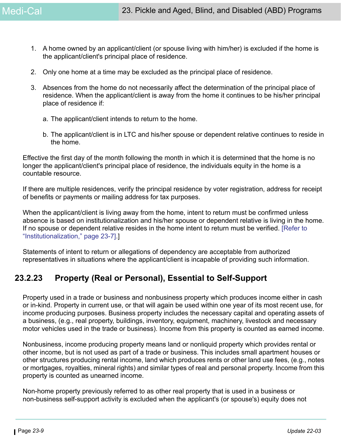- 1. A home owned by an applicant/client (or spouse living with him/her) is excluded if the home is the applicant/client's principal place of residence.
- 2. Only one home at a time may be excluded as the principal place of residence.
- 3. Absences from the home do not necessarily affect the determination of the principal place of residence. When the applicant/client is away from the home it continues to be his/her principal place of residence if:
	- a. The applicant/client intends to return to the home.
	- b. The applicant/client is in LTC and his/her spouse or dependent relative continues to reside in the home.

Effective the first day of the month following the month in which it is determined that the home is no longer the applicant/client's principal place of residence, the individuals equity in the home is a countable resource.

If there are multiple residences, verify the principal residence by voter registration, address for receipt of benefits or payments or mailing address for tax purposes.

When the applicant/client is living away from the home, intent to return must be confirmed unless absence is based on institutionalization and his/her spouse or dependent relative is living in the home. If no spouse or dependent relative resides in the home intent to return must be verified. [\[Refer to](#page-6-0)  ["Institutionalization," page 23-7\]](#page-6-0).]

Statements of intent to return or allegations of dependency are acceptable from authorized representatives in situations where the applicant/client is incapable of providing such information.

### **23.2.23 Property (Real or Personal), Essential to Self-Support**

Property used in a trade or business and nonbusiness property which produces income either in cash or in-kind. Property in current use, or that will again be used within one year of its most recent use, for income producing purposes. Business property includes the necessary capital and operating assets of a business, (e.g., real property, buildings, inventory, equipment, machinery, livestock and necessary motor vehicles used in the trade or business). Income from this property is counted as earned income.

Nonbusiness, income producing property means land or nonliquid property which provides rental or other income, but is not used as part of a trade or business. This includes small apartment houses or other structures producing rental income, land which produces rents or other land use fees, (e.g., notes or mortgages, royalties, mineral rights) and similar types of real and personal property. Income from this property is counted as unearned income.

Non-home property previously referred to as other real property that is used in a business or non-business self-support activity is excluded when the applicant's (or spouse's) equity does not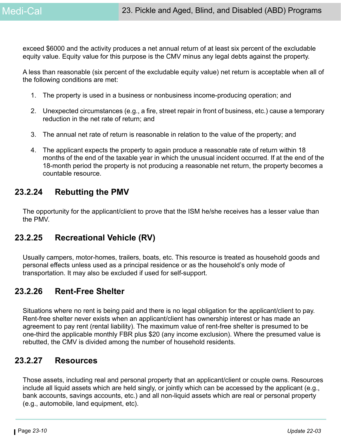exceed \$6000 and the activity produces a net annual return of at least six percent of the excludable equity value. Equity value for this purpose is the CMV minus any legal debts against the property.

A less than reasonable (six percent of the excludable equity value) net return is acceptable when all of the following conditions are met:

- 1. The property is used in a business or nonbusiness income-producing operation; and
- 2. Unexpected circumstances (e.g., a fire, street repair in front of business, etc.) cause a temporary reduction in the net rate of return; and
- 3. The annual net rate of return is reasonable in relation to the value of the property; and
- 4. The applicant expects the property to again produce a reasonable rate of return within 18 months of the end of the taxable year in which the unusual incident occurred. If at the end of the 18-month period the property is not producing a reasonable net return, the property becomes a countable resource.

### **23.2.24 Rebutting the PMV**

The opportunity for the applicant/client to prove that the ISM he/she receives has a lesser value than the PMV.

### **23.2.25 Recreational Vehicle (RV)**

Usually campers, motor-homes, trailers, boats, etc. This resource is treated as household goods and personal effects unless used as a principal residence or as the household's only mode of transportation. It may also be excluded if used for self-support.

### **23.2.26 Rent-Free Shelter**

Situations where no rent is being paid and there is no legal obligation for the applicant/client to pay. Rent-free shelter never exists when an applicant/client has ownership interest or has made an agreement to pay rent (rental liability). The maximum value of rent-free shelter is presumed to be one-third the applicable monthly FBR plus \$20 (any income exclusion). Where the presumed value is rebutted, the CMV is divided among the number of household residents.

### **23.2.27 Resources**

Those assets, including real and personal property that an applicant/client or couple owns. Resources include all liquid assets which are held singly, or jointly which can be accessed by the applicant (e.g., bank accounts, savings accounts, etc.) and all non-liquid assets which are real or personal property (e.g., automobile, land equipment, etc).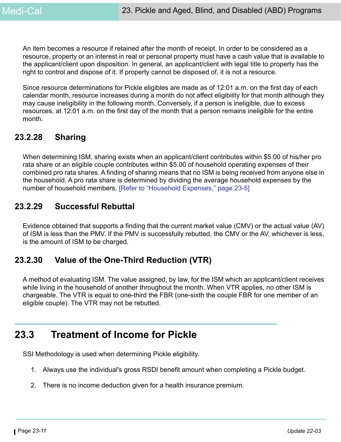An item becomes a resource if retained after the month of receipt. In order to be considered as a resource, property or an interest in real or personal property must have a cash value that is available to the applicant/client upon disposition. In general, an applicant/client with legal title to property has the right to control and dispose of it. If property cannot be disposed of, it is not a resource.

Since resource determinations for Pickle eligibles are made as of 12:01 a.m. on the first day of each calendar month, resource increases during a month do not affect eligibility for that month although they may cause ineligibility in the following month. Conversely, if a person is ineligible, due to excess resources, at 12:01 a.m. on the first day of the month that a person remains ineligible for the entire month.

## **23.2.28 Sharing**

When determining ISM, sharing exists when an applicant/client contributes within \$5.00 of his/her pro rata share or an eligible couple contributes within \$5.00 of household operating expenses of their combined pro rata shares. A finding of sharing means that no ISM is being received from anyone else in the household. A pro rata share is determined by dividing the average household expenses by the number of household members. [\[Refer to "Household Expenses," page 23-5\]](#page-4-2)

## **23.2.29 Successful Rebuttal**

Evidence obtained that supports a finding that the current market value (CMV) or the actual value (AV) of ISM is less than the PMV. If the PMV is successfully rebutted, the CMV or the AV, whichever is less, is the amount of ISM to be charged.

## **23.2.30 Value of the One-Third Reduction (VTR)**

A method of evaluating ISM. The value assigned, by law, for the ISM which an applicant/client receives while living in the household of another throughout the month. When VTR applies, no other ISM is chargeable. The VTR is equal to one-third the FBR (one-sixth the couple FBR for one member of an eligible couple). The VTR may not be rebutted.

## **23.3 Treatment of Income for Pickle**

SSI Methodology is used when determining Pickle eligibility.

- 1. Always use the individual's gross RSDI benefit amount when completing a Pickle budget.
- 2. There is no income deduction given for a health insurance premium.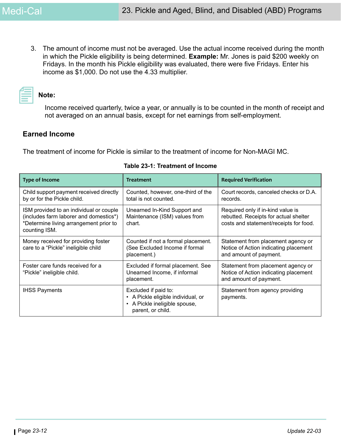3. The amount of income must not be averaged. Use the actual income received during the month in which the Pickle eligibility is being determined. **Example:** Mr. Jones is paid \$200 weekly on Fridays. In the month his Pickle eligibility was evaluated, there were five Fridays. Enter his income as \$1,000. Do not use the 4.33 multiplier.

# **Note:**

Income received quarterly, twice a year, or annually is to be counted in the month of receipt and not averaged on an annual basis, except for net earnings from self-employment.

### **Earned Income**

The treatment of income for Pickle is similar to the treatment of income for Non-MAGI MC.

| <b>Type of Income</b>                                                                                                                        | <b>Treatment</b>                                                                                               | <b>Required Verification</b>                                                                                         |
|----------------------------------------------------------------------------------------------------------------------------------------------|----------------------------------------------------------------------------------------------------------------|----------------------------------------------------------------------------------------------------------------------|
| Child support payment received directly<br>by or for the Pickle child.                                                                       | Counted, however, one-third of the<br>total is not counted.                                                    | Court records, canceled checks or D.A.<br>records.                                                                   |
| ISM provided to an individual or couple<br>(includes farm laborer and domestics*)<br>*Determine living arrangement prior to<br>counting ISM. | Unearned In-Kind Support and<br>Maintenance (ISM) values from<br>chart.                                        | Required only if in-kind value is<br>rebutted. Receipts for actual shelter<br>costs and statement/receipts for food. |
| Money received for providing foster<br>care to a "Pickle" ineligible child                                                                   | Counted if not a formal placement.<br>(See Excluded Income if formal<br>placement.)                            | Statement from placement agency or<br>Notice of Action indicating placement<br>and amount of payment.                |
| Foster care funds received for a<br>"Pickle" ineligible child.                                                                               | Excluded if formal placement. See<br>Unearned Income, if informal<br>placement.                                | Statement from placement agency or<br>Notice of Action indicating placement<br>and amount of payment.                |
| <b>IHSS Payments</b>                                                                                                                         | Excluded if paid to:<br>• A Pickle eligible individual, or<br>A Pickle ineligible spouse,<br>parent, or child. | Statement from agency providing<br>payments.                                                                         |

#### **Table 23-1: Treatment of Income**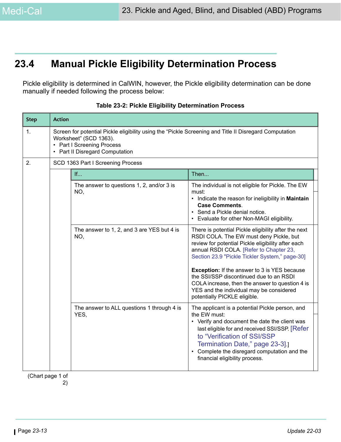## **23.4 Manual Pickle Eligibility Determination Process**

Pickle eligibility is determined in CalWIN, however, the Pickle eligibility determination can be done manually if needed following the process below:

| <b>Step</b>      | <b>Action</b>                     |                                                                                                                                                                                                 |                                                                                                                                                                                                                                                                                                                     |  |
|------------------|-----------------------------------|-------------------------------------------------------------------------------------------------------------------------------------------------------------------------------------------------|---------------------------------------------------------------------------------------------------------------------------------------------------------------------------------------------------------------------------------------------------------------------------------------------------------------------|--|
| 1.               | $\bullet$                         | Screen for potential Pickle eligibility using the "Pickle Screening and Title II Disregard Computation<br>Worksheet" (SCD 1363).<br>• Part I Screening Process<br>Part II Disregard Computation |                                                                                                                                                                                                                                                                                                                     |  |
| 2.               | SCD 1363 Part I Screening Process |                                                                                                                                                                                                 |                                                                                                                                                                                                                                                                                                                     |  |
|                  |                                   | If                                                                                                                                                                                              | Then                                                                                                                                                                                                                                                                                                                |  |
|                  |                                   | The answer to questions 1, 2, and/or 3 is<br>NO,                                                                                                                                                | The individual is not eligible for Pickle. The EW<br>must:<br>• Indicate the reason for ineligibility in Maintain<br><b>Case Comments.</b><br>Send a Pickle denial notice.<br>Evaluate for other Non-MAGI eligibility.                                                                                              |  |
|                  |                                   | The answer to 1, 2, and 3 are YES but 4 is<br>NO,                                                                                                                                               | There is potential Pickle eligibility after the next<br>RSDI COLA. The EW must deny Pickle, but<br>review for potential Pickle eligibility after each<br>annual RSDI COLA. [Refer to Chapter 23,<br>Section 23.9 "Pickle Tickler System," page-30]                                                                  |  |
|                  |                                   |                                                                                                                                                                                                 | <b>Exception:</b> If the answer to 3 is YES because<br>the SSI/SSP discontinued due to an RSDI<br>COLA increase, then the answer to question 4 is<br>YES and the individual may be considered<br>potentially PICKLE eligible.                                                                                       |  |
|                  |                                   | The answer to ALL questions 1 through 4 is<br>YES,                                                                                                                                              | The applicant is a potential Pickle person, and<br>the EW must:<br>• Verify and document the date the client was<br>last eligible for and received SSI/SSP. [Refer<br>to "Verification of SSI/SSP<br>Termination Date," page 23-3].<br>Complete the disregard computation and the<br>financial eligibility process. |  |
| (Chart page 1 of |                                   |                                                                                                                                                                                                 |                                                                                                                                                                                                                                                                                                                     |  |

**Table 23-2: Pickle Eligibility Determination Process**

 (Chart page 1 of 2)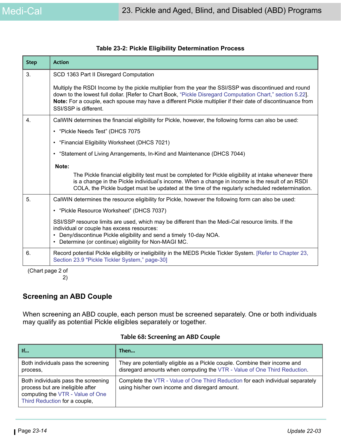| <b>Step</b> | <b>Action</b>                                                                                                                                                                                                                                                                                                                                                |  |  |
|-------------|--------------------------------------------------------------------------------------------------------------------------------------------------------------------------------------------------------------------------------------------------------------------------------------------------------------------------------------------------------------|--|--|
| 3.          | SCD 1363 Part II Disregard Computation                                                                                                                                                                                                                                                                                                                       |  |  |
|             | Multiply the RSDI Income by the pickle multiplier from the year the SSI/SSP was discontinued and round<br>down to the lowest full dollar. [Refer to Chart Book, "Pickle Disregard Computation Chart," section 5.22].<br>Note: For a couple, each spouse may have a different Pickle multiplier if their date of discontinuance from<br>SSI/SSP is different. |  |  |
| 4.          | CalWIN determines the financial eligibility for Pickle, however, the following forms can also be used:                                                                                                                                                                                                                                                       |  |  |
|             | • "Pickle Needs Test" (DHCS 7075                                                                                                                                                                                                                                                                                                                             |  |  |
|             | • "Financial Eligibility Worksheet (DHCS 7021)                                                                                                                                                                                                                                                                                                               |  |  |
|             | • "Statement of Living Arrangements, In-Kind and Maintenance (DHCS 7044)                                                                                                                                                                                                                                                                                     |  |  |
|             | Note:                                                                                                                                                                                                                                                                                                                                                        |  |  |
|             | The Pickle financial eligibility test must be completed for Pickle eligibility at intake whenever there<br>is a change in the Pickle individual's income. When a change in income is the result of an RSDI<br>COLA, the Pickle budget must be updated at the time of the regularly scheduled redetermination.                                                |  |  |
| 5.          | CalWIN determines the resource eligibility for Pickle, however the following form can also be used:                                                                                                                                                                                                                                                          |  |  |
|             | • "Pickle Resource Worksheet" (DHCS 7037)                                                                                                                                                                                                                                                                                                                    |  |  |
|             | SSI/SSP resource limits are used, which may be different than the Medi-Cal resource limits. If the<br>individual or couple has excess resources:<br>Deny/discontinue Pickle eligibility and send a timely 10-day NOA.<br>$\bullet$<br>Determine (or continue) eligibility for Non-MAGI MC.                                                                   |  |  |
| 6.          | Record potential Pickle eligibility or ineligibility in the MEDS Pickle Tickler System. [Refer to Chapter 23,<br>Section 23.9 "Pickle Tickler System," page-30]                                                                                                                                                                                              |  |  |

#### **Table 23-2: Pickle Eligibility Determination Process**

 (Chart page 2 of 2)

### **Screening an ABD Couple**

When screening an ABD couple, each person must be screened separately. One or both individuals may qualify as potential Pickle eligibles separately or together.

| If                                                                                                                                           | Then                                                                                                                                                   |
|----------------------------------------------------------------------------------------------------------------------------------------------|--------------------------------------------------------------------------------------------------------------------------------------------------------|
| Both individuals pass the screening<br>process,                                                                                              | They are potentially eligible as a Pickle couple. Combine their income and<br>disregard amounts when computing the VTR - Value of One Third Reduction. |
| Both individuals pass the screening<br>process but are ineligible after<br>computing the VTR - Value of One<br>Third Reduction for a couple, | Complete the VTR - Value of One Third Reduction for each individual separately<br>using his/her own income and disregard amount.                       |

#### **Table 68: Screening an ABD Couple**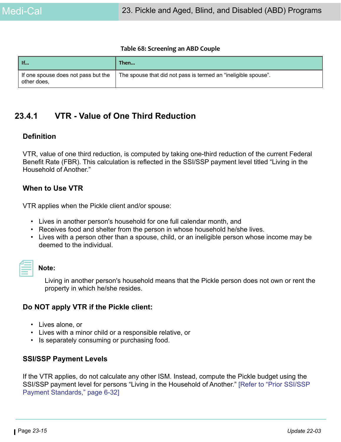#### **Table 68: Screening an ABD Couple**

| $\mathsf{H}$                                       | Then                                                           |
|----------------------------------------------------|----------------------------------------------------------------|
| If one spouse does not pass but the<br>other does, | The spouse that did not pass is termed an "ineligible spouse". |

### <span id="page-14-0"></span>**23.4.1 VTR - Value of One Third Reduction**

#### **Definition**

VTR, value of one third reduction, is computed by taking one-third reduction of the current Federal Benefit Rate (FBR). This calculation is reflected in the SSI/SSP payment level titled "Living in the Household of Another."

#### **When to Use VTR**

VTR applies when the Pickle client and/or spouse:

- Lives in another person's household for one full calendar month, and
- Receives food and shelter from the person in whose household he/she lives.
- Lives with a person other than a spouse, child, or an ineligible person whose income may be deemed to the individual.

| ________<br>and the state of the state of the state of the state of the state of the state of the state of the state of th |  |  |
|----------------------------------------------------------------------------------------------------------------------------|--|--|
|                                                                                                                            |  |  |

#### **Note:**

Living in another person's household means that the Pickle person does not own or rent the property in which he/she resides.

#### **Do NOT apply VTR if the Pickle client:**

- Lives alone, or
- Lives with a minor child or a responsible relative, or
- Is separately consuming or purchasing food.

#### **SSI/SSP Payment Levels**

If the VTR applies, do not calculate any other ISM. Instead, compute the Pickle budget using the SSI/SSP payment level for persons "Living in the Household of Another." [Refer to "Prior SSI/SSP Payment Standards," page 6-32]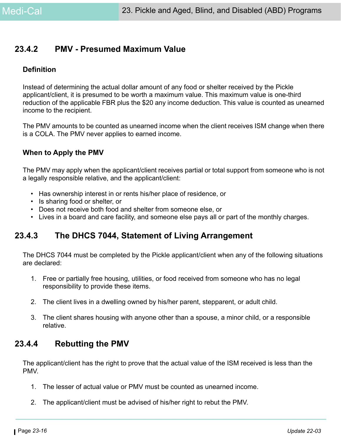### **23.4.2 PMV - Presumed Maximum Value**

#### **Definition**

Instead of determining the actual dollar amount of any food or shelter received by the Pickle applicant/client, it is presumed to be worth a maximum value. This maximum value is one-third reduction of the applicable FBR plus the \$20 any income deduction. This value is counted as unearned income to the recipient.

The PMV amounts to be counted as unearned income when the client receives ISM change when there is a COLA. The PMV never applies to earned income.

#### **When to Apply the PMV**

The PMV may apply when the applicant/client receives partial or total support from someone who is not a legally responsible relative, and the applicant/client:

- Has ownership interest in or rents his/her place of residence, or
- Is sharing food or shelter, or
- Does not receive both food and shelter from someone else, or
- Lives in a board and care facility, and someone else pays all or part of the monthly charges.

### **23.4.3 The DHCS 7044, Statement of Living Arrangement**

The DHCS 7044 must be completed by the Pickle applicant/client when any of the following situations are declared:

- 1. Free or partially free housing, utilities, or food received from someone who has no legal responsibility to provide these items.
- 2. The client lives in a dwelling owned by his/her parent, stepparent, or adult child.
- 3. The client shares housing with anyone other than a spouse, a minor child, or a responsible relative.

### **23.4.4 Rebutting the PMV**

The applicant/client has the right to prove that the actual value of the ISM received is less than the **PMV** 

- 1. The lesser of actual value or PMV must be counted as unearned income.
- 2. The applicant/client must be advised of his/her right to rebut the PMV.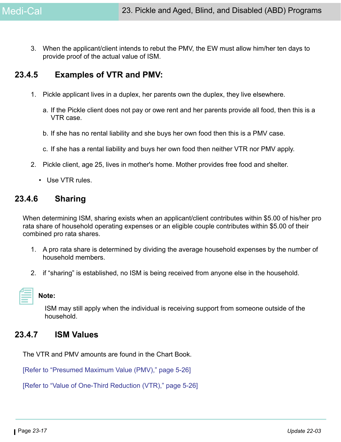3. When the applicant/client intends to rebut the PMV, the EW must allow him/her ten days to provide proof of the actual value of ISM.

### **23.4.5 Examples of VTR and PMV:**

- 1. Pickle applicant lives in a duplex, her parents own the duplex, they live elsewhere.
	- a. If the Pickle client does not pay or owe rent and her parents provide all food, then this is a VTR case.
	- b. If she has no rental liability and she buys her own food then this is a PMV case.
	- c. If she has a rental liability and buys her own food then neither VTR nor PMV apply.
- 2. Pickle client, age 25, lives in mother's home. Mother provides free food and shelter.
	- Use VTR rules.

### **23.4.6 Sharing**

When determining ISM, sharing exists when an applicant/client contributes within \$5.00 of his/her pro rata share of household operating expenses or an eligible couple contributes within \$5.00 of their combined pro rata shares.

- 1. A pro rata share is determined by dividing the average household expenses by the number of household members.
- 2. if "sharing" is established, no ISM is being received from anyone else in the household.

ISM may still apply when the individual is receiving support from someone outside of the household.

### **23.4.7 ISM Values**

**Note:** 

The VTR and PMV amounts are found in the Chart Book.

[Refer to "Presumed Maximum Value (PMV)," page 5-26]

[Refer to "Value of One-Third Reduction (VTR)," page 5-26]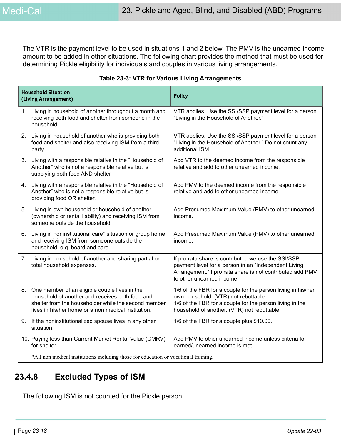The VTR is the payment level to be used in situations 1 and 2 below. The PMV is the unearned income amount to be added in other situations. The following chart provides the method that must be used for determining Pickle eligibility for individuals and couples in various living arrangements.

| <b>Household Situation</b><br>(Living Arrangement) |                                                                                                                                                                                                                    | <b>Policy</b>                                                                                                                                                                                                   |  |  |
|----------------------------------------------------|--------------------------------------------------------------------------------------------------------------------------------------------------------------------------------------------------------------------|-----------------------------------------------------------------------------------------------------------------------------------------------------------------------------------------------------------------|--|--|
|                                                    | 1. Living in household of another throughout a month and<br>receiving both food and shelter from someone in the<br>household.                                                                                      | VTR applies. Use the SSI/SSP payment level for a person<br>"Living in the Household of Another."                                                                                                                |  |  |
|                                                    | 2. Living in household of another who is providing both<br>food and shelter and also receiving ISM from a third<br>party.                                                                                          | VTR applies. Use the SSI/SSP payment level for a person<br>"Living in the Household of Another." Do not count any<br>additional ISM.                                                                            |  |  |
| 3.                                                 | Living with a responsible relative in the "Household of<br>Another" who is not a responsible relative but is<br>supplying both food AND shelter                                                                    | Add VTR to the deemed income from the responsible<br>relative and add to other unearned income.                                                                                                                 |  |  |
|                                                    | 4. Living with a responsible relative in the "Household of<br>Another" who is not a responsible relative but is<br>providing food OR shelter.                                                                      | Add PMV to the deemed income from the responsible<br>relative and add to other unearned income.                                                                                                                 |  |  |
|                                                    | 5. Living in own household or household of another<br>(ownership or rental liability) and receiving ISM from<br>someone outside the household.                                                                     | Add Presumed Maximum Value (PMV) to other unearned<br>income.                                                                                                                                                   |  |  |
| 6.                                                 | Living in noninstitutional care* situation or group home<br>and receiving ISM from someone outside the<br>household, e.g. board and care.                                                                          | Add Presumed Maximum Value (PMV) to other unearned<br>income.                                                                                                                                                   |  |  |
|                                                    | 7. Living in household of another and sharing partial or<br>total household expenses.                                                                                                                              | If pro rata share is contributed we use the SSI/SSP<br>payment level for a person in an "Independent Living<br>Arrangement. "If pro rata share is not contributed add PMV<br>to other unearned income.          |  |  |
|                                                    | 8. One member of an eligible couple lives in the<br>household of another and receives both food and<br>shelter from the householder while the second member<br>lives in his/her home or a non medical institution. | 1/6 of the FBR for a couple for the person living in his/her<br>own household. (VTR) not rebuttable.<br>1/6 of the FBR for a couple for the person living in the<br>household of another. (VTR) not rebuttable. |  |  |
| 9.                                                 | If the noninstitutionalized spouse lives in any other<br>situation.                                                                                                                                                | 1/6 of the FBR for a couple plus \$10.00.                                                                                                                                                                       |  |  |
|                                                    | 10. Paying less than Current Market Rental Value (CMRV)<br>for shelter.                                                                                                                                            | Add PMV to other unearned income unless criteria for<br>earned/unearned income is met.                                                                                                                          |  |  |
|                                                    | *All non medical institutions including those for education or vocational training.                                                                                                                                |                                                                                                                                                                                                                 |  |  |

#### **Table 23-3: VTR for Various Living Arrangements**

## **23.4.8 Excluded Types of ISM**

The following ISM is not counted for the Pickle person.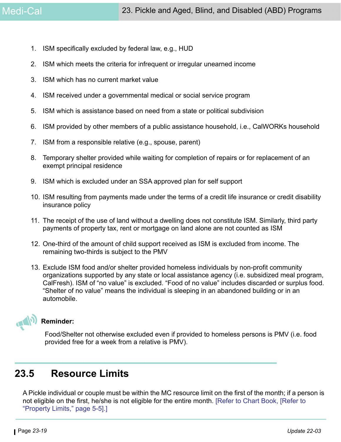- 1. ISM specifically excluded by federal law, e.g., HUD
- 2. ISM which meets the criteria for infrequent or irregular unearned income
- 3. ISM which has no current market value
- 4. ISM received under a governmental medical or social service program
- 5. ISM which is assistance based on need from a state or political subdivision
- 6. ISM provided by other members of a public assistance household, i.e., CalWORKs household
- 7. ISM from a responsible relative (e.g., spouse, parent)
- 8. Temporary shelter provided while waiting for completion of repairs or for replacement of an exempt principal residence
- 9. ISM which is excluded under an SSA approved plan for self support
- 10. ISM resulting from payments made under the terms of a credit life insurance or credit disability insurance policy
- 11. The receipt of the use of land without a dwelling does not constitute ISM. Similarly, third party payments of property tax, rent or mortgage on land alone are not counted as ISM
- 12. One-third of the amount of child support received as ISM is excluded from income. The remaining two-thirds is subject to the PMV
- 13. Exclude ISM food and/or shelter provided homeless individuals by non-profit community organizations supported by any state or local assistance agency (i.e. subsidized meal program, CalFresh). ISM of "no value" is excluded. "Food of no value" includes discarded or surplus food. "Shelter of no value" means the individual is sleeping in an abandoned building or in an automobile.



#### **Reminder:**

Food/Shelter not otherwise excluded even if provided to homeless persons is PMV (i.e. food provided free for a week from a relative is PMV).

## **23.5 Resource Limits**

A Pickle individual or couple must be within the MC resource limit on the first of the month; if a person is not eligible on the first, he/she is not eligible for the entire month. [Refer to Chart Book, [Refer to "Property Limits," page 5-5].]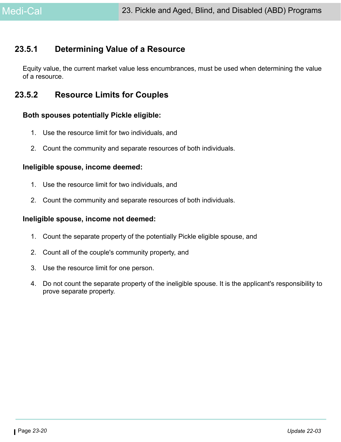## **23.5.1 Determining Value of a Resource**

Equity value, the current market value less encumbrances, must be used when determining the value of a resource.

## **23.5.2 Resource Limits for Couples**

### **Both spouses potentially Pickle eligible:**

- 1. Use the resource limit for two individuals, and
- 2. Count the community and separate resources of both individuals.

### **Ineligible spouse, income deemed:**

- 1. Use the resource limit for two individuals, and
- 2. Count the community and separate resources of both individuals.

### **Ineligible spouse, income not deemed:**

- 1. Count the separate property of the potentially Pickle eligible spouse, and
- 2. Count all of the couple's community property, and
- 3. Use the resource limit for one person.
- 4. Do not count the separate property of the ineligible spouse. It is the applicant's responsibility to prove separate property.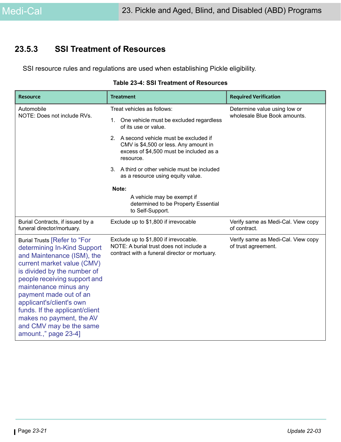### **23.5.3 SSI Treatment of Resources**

SSI resource rules and regulations are used when establishing Pickle eligibility.

| <b>Resource</b>                                                                                                                                                                                                                                                                                                                                                                               | <b>Treatment</b>                                                                                                                                                                                                                                                                                                                                                                                                   | <b>Required Verification</b>                                 |
|-----------------------------------------------------------------------------------------------------------------------------------------------------------------------------------------------------------------------------------------------------------------------------------------------------------------------------------------------------------------------------------------------|--------------------------------------------------------------------------------------------------------------------------------------------------------------------------------------------------------------------------------------------------------------------------------------------------------------------------------------------------------------------------------------------------------------------|--------------------------------------------------------------|
| Automobile<br>NOTE: Does not include RVs.                                                                                                                                                                                                                                                                                                                                                     | Treat vehicles as follows:<br>One vehicle must be excluded regardless<br>1.<br>of its use or value.<br>2. A second vehicle must be excluded if<br>CMV is \$4,500 or less. Any amount in<br>excess of \$4,500 must be included as a<br>resource.<br>3. A third or other vehicle must be included<br>as a resource using equity value.<br>Note:<br>A vehicle may be exempt if<br>determined to be Property Essential | Determine value using low or<br>wholesale Blue Book amounts. |
| Burial Contracts, if issued by a<br>funeral director/mortuary.                                                                                                                                                                                                                                                                                                                                | to Self-Support.<br>Exclude up to \$1,800 if irrevocable                                                                                                                                                                                                                                                                                                                                                           | Verify same as Medi-Cal. View copy<br>of contract.           |
| <b>Burial Trusts [Refer to "For</b><br>determining In-Kind Support<br>and Maintenance (ISM), the<br>current market value (CMV)<br>is divided by the number of<br>people receiving support and<br>maintenance minus any<br>payment made out of an<br>applicant's/client's own<br>funds. If the applicant/client<br>makes no payment, the AV<br>and CMV may be the same<br>amount.," page 23-4] | Exclude up to \$1,800 if irrevocable.<br>NOTE: A burial trust does not include a<br>contract with a funeral director or mortuary.                                                                                                                                                                                                                                                                                  | Verify same as Medi-Cal. View copy<br>of trust agreement.    |

#### **Table 23-4: SSI Treatment of Resources**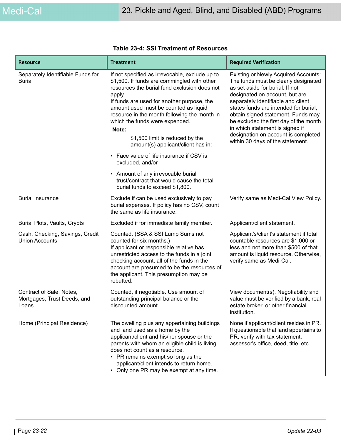| <b>Resource</b>                                                  | <b>Treatment</b>                                                                                                                                                                                                                                                                                                                                                                                                   | <b>Required Verification</b>                                                                                                                                                                                                                                                                                                                                                                                                          |
|------------------------------------------------------------------|--------------------------------------------------------------------------------------------------------------------------------------------------------------------------------------------------------------------------------------------------------------------------------------------------------------------------------------------------------------------------------------------------------------------|---------------------------------------------------------------------------------------------------------------------------------------------------------------------------------------------------------------------------------------------------------------------------------------------------------------------------------------------------------------------------------------------------------------------------------------|
| Separately Identifiable Funds for<br><b>Burial</b>               | If not specified as irrevocable, exclude up to<br>\$1,500. If funds are commingled with other<br>resources the burial fund exclusion does not<br>apply.<br>If funds are used for another purpose, the<br>amount used must be counted as liquid<br>resource in the month following the month in<br>which the funds were expended.<br>Note:<br>\$1,500 limit is reduced by the<br>amount(s) applicant/client has in: | <b>Existing or Newly Acquired Accounts:</b><br>The funds must be clearly designated<br>as set aside for burial. If not<br>designated on account, but are<br>separately identifiable and client<br>states funds are intended for burial,<br>obtain signed statement. Funds may<br>be excluded the first day of the month<br>in which statement is signed if<br>designation on account is completed<br>within 30 days of the statement. |
|                                                                  | • Face value of life insurance if CSV is<br>excluded, and/or                                                                                                                                                                                                                                                                                                                                                       |                                                                                                                                                                                                                                                                                                                                                                                                                                       |
|                                                                  | • Amount of any irrevocable burial<br>trust/contract that would cause the total<br>burial funds to exceed \$1,800.                                                                                                                                                                                                                                                                                                 |                                                                                                                                                                                                                                                                                                                                                                                                                                       |
| <b>Burial Insurance</b>                                          | Exclude if can be used exclusively to pay<br>burial expenses. If policy has no CSV, count<br>the same as life insurance.                                                                                                                                                                                                                                                                                           | Verify same as Medi-Cal View Policy.                                                                                                                                                                                                                                                                                                                                                                                                  |
| Burial Plots, Vaults, Crypts                                     | Excluded if for immediate family member.                                                                                                                                                                                                                                                                                                                                                                           | Applicant/client statement.                                                                                                                                                                                                                                                                                                                                                                                                           |
| Cash, Checking, Savings, Credit<br><b>Union Accounts</b>         | Counted. (SSA & SSI Lump Sums not<br>counted for six months.)<br>If applicant or responsible relative has<br>unrestricted access to the funds in a joint<br>checking account, all of the funds in the<br>account are presumed to be the resources of<br>the applicant. This presumption may be<br>rebutted.                                                                                                        | Applicant's/client's statement if total<br>countable resources are \$1,000 or<br>less and not more than \$500 of that<br>amount is liquid resource. Otherwise,<br>verify same as Medi-Cal.                                                                                                                                                                                                                                            |
| Contract of Sale, Notes,<br>Mortgages, Trust Deeds, and<br>Loans | Counted, if negotiable. Use amount of<br>outstanding principal balance or the<br>discounted amount.                                                                                                                                                                                                                                                                                                                | View document(s). Negotiability and<br>value must be verified by a bank, real<br>estate broker, or other financial<br>institution.                                                                                                                                                                                                                                                                                                    |
| Home (Principal Residence)                                       | The dwelling plus any appertaining buildings<br>and land used as a home by the<br>applicant/client and his/her spouse or the<br>parents with whom an eligible child is living<br>does not count as a resource.<br>• PR remains exempt so long as the<br>applicant/client intends to return home.<br>• Only one PR may be exempt at any time.                                                                       | None if applicant/client resides in PR.<br>If questionable that land appertains to<br>PR, verify with tax statement,<br>assessor's office, deed, title, etc.                                                                                                                                                                                                                                                                          |

| <b>Table 23-4: SSI Treatment of Resources</b> |  |  |
|-----------------------------------------------|--|--|
|-----------------------------------------------|--|--|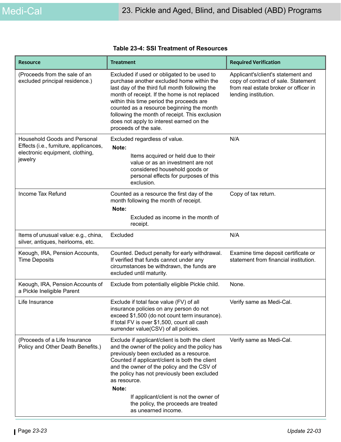| <b>Resource</b>                                                                                                             | <b>Treatment</b>                                                                                                                                                                                                                                                                                                                                                                                                              | <b>Required Verification</b>                                                                                                               |
|-----------------------------------------------------------------------------------------------------------------------------|-------------------------------------------------------------------------------------------------------------------------------------------------------------------------------------------------------------------------------------------------------------------------------------------------------------------------------------------------------------------------------------------------------------------------------|--------------------------------------------------------------------------------------------------------------------------------------------|
| (Proceeds from the sale of an<br>excluded principal residence.)                                                             | Excluded if used or obligated to be used to<br>purchase another excluded home within the<br>last day of the third full month following the<br>month of receipt. If the home is not replaced<br>within this time period the proceeds are<br>counted as a resource beginning the month<br>following the month of receipt. This exclusion<br>does not apply to interest earned on the<br>proceeds of the sale.                   | Applicant's/client's statement and<br>copy of contract of sale. Statement<br>from real estate broker or officer in<br>lending institution. |
| <b>Household Goods and Personal</b><br>Effects (i.e., furniture, applicances,<br>electronic equipment, clothing,<br>jewelry | Excluded regardless of value.<br>Note:<br>Items acquired or held due to their<br>value or as an investment are not<br>considered household goods or<br>personal effects for purposes of this<br>exclusion.                                                                                                                                                                                                                    | N/A                                                                                                                                        |
| Income Tax Refund                                                                                                           | Counted as a resource the first day of the<br>month following the month of receipt.<br>Note:<br>Excluded as income in the month of<br>receipt.                                                                                                                                                                                                                                                                                | Copy of tax return.                                                                                                                        |
| Items of unusual value: e.g., china,<br>silver, antiques, heirlooms, etc.                                                   | Excluded                                                                                                                                                                                                                                                                                                                                                                                                                      | N/A                                                                                                                                        |
| Keough, IRA, Pension Accounts,<br><b>Time Deposits</b>                                                                      | Counted. Deduct penalty for early withdrawal.<br>If verified that funds cannot under any<br>circumstances be withdrawn, the funds are<br>excluded until maturity.                                                                                                                                                                                                                                                             | Examine time deposit certificate or<br>statement from financial institution.                                                               |
| Keough, IRA, Pension Accounts of<br>a Pickle Ineligible Parent                                                              | Exclude from potentially eligible Pickle child.                                                                                                                                                                                                                                                                                                                                                                               | None.                                                                                                                                      |
| Life Insurance                                                                                                              | Exclude if total face value (FV) of all<br>insurance policies on any person do not<br>exceed \$1,500 (do not count term insurance).<br>If total FV is over \$1,500, count all cash<br>surrender value(CSV) of all policies.                                                                                                                                                                                                   | Verify same as Medi-Cal.                                                                                                                   |
| (Proceeds of a Life Insurance<br>Policy and Other Death Benefits.)                                                          | Exclude if applicant/client is both the client<br>and the owner of the policy and the policy has<br>previously been excluded as a resource.<br>Counted if applicant/client is both the client<br>and the owner of the policy and the CSV of<br>the policy has not previously been excluded<br>as resource.<br>Note:<br>If applicant/client is not the owner of<br>the policy, the proceeds are treated<br>as unearned income. | Verify same as Medi-Cal.                                                                                                                   |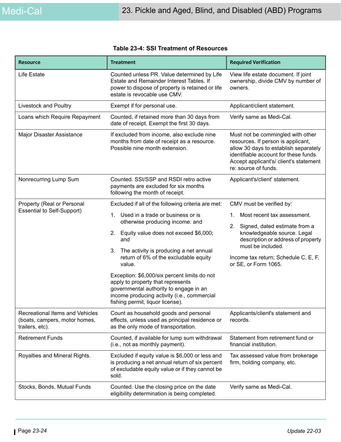| <b>Resource</b>                                                                     | <b>Treatment</b>                                                                                                                                                                                                                                                                                                                                                                                                                                                                                                  | <b>Required Verification</b>                                                                                                                                                                                                                                   |
|-------------------------------------------------------------------------------------|-------------------------------------------------------------------------------------------------------------------------------------------------------------------------------------------------------------------------------------------------------------------------------------------------------------------------------------------------------------------------------------------------------------------------------------------------------------------------------------------------------------------|----------------------------------------------------------------------------------------------------------------------------------------------------------------------------------------------------------------------------------------------------------------|
| <b>Life Estate</b>                                                                  | Counted unless PR. Value determined by Life<br>Estate and Remainder Interest Tables. If<br>power to dispose of property is retained or life<br>estate is revocable use CMV.                                                                                                                                                                                                                                                                                                                                       | View life estate document. If joint<br>ownership, divide CMV by number of<br>owners.                                                                                                                                                                           |
| Livestock and Poultry                                                               | Exempt if for personal use.                                                                                                                                                                                                                                                                                                                                                                                                                                                                                       | Applicant/client statement.                                                                                                                                                                                                                                    |
| Loans which Require Repayment                                                       | Counted, if retained more than 30 days from<br>date of receipt. Exempt the first 30 days.                                                                                                                                                                                                                                                                                                                                                                                                                         | Verify same as Medi-Cal.                                                                                                                                                                                                                                       |
| Major Disaster Assistance                                                           | If excluded from income, also exclude nine<br>months from date of receipt as a resource.<br>Possible nine month extension.                                                                                                                                                                                                                                                                                                                                                                                        | Must not be commingled with other<br>resources. If person is applicant,<br>allow 30 days to establish separately<br>identifiable account for these funds.<br>Accept applicant's/ client's statement<br>re: source of funds.                                    |
| Nonrecurring Lump Sum                                                               | Counted. SSI/SSP and RSDI retro active<br>payments are excluded for six months<br>following the month of receipt.                                                                                                                                                                                                                                                                                                                                                                                                 | Applicant's/client' statement.                                                                                                                                                                                                                                 |
| Property (Real or Personal<br><b>Essential to Self-Support)</b>                     | Excluded if all of the following criteria are met:<br>Used in a trade or business or is<br>$1_{\cdot}$<br>otherwise producing income: and<br>2. Equity value does not exceed \$6,000;<br>and<br>The activity is producing a net annual<br>3.<br>return of 6% of the excludable equity<br>value.<br>Exception: \$6,000/six percent limits do not<br>apply to property that represents<br>governmental authority to engage in an<br>income producing activity (i.e., commercial<br>fishing permit, liquor license). | CMV must be verified by:<br>Most recent tax assessment.<br>1.<br>Signed, dated estimate from a<br>2.<br>knowledgeable source. Legal<br>description or address of property<br>must be included.<br>Income tax return; Schedule C, E, F,<br>or SE, or Form 1065. |
| Recreational Items and Vehicles<br>(boats, campers, motor homes,<br>trailers, etc). | Count as household goods and personal<br>effects, unless used as principal residence or<br>as the only mode of transportation.                                                                                                                                                                                                                                                                                                                                                                                    | Applicants/client's statement and<br>records.                                                                                                                                                                                                                  |
| <b>Retirement Funds</b>                                                             | Counted, if available for lump sum withdrawal<br>(i.e., not as monthly payment).                                                                                                                                                                                                                                                                                                                                                                                                                                  | Statement from retirement fund or<br>financial institution.                                                                                                                                                                                                    |
| Royalties and Mineral Rights.                                                       | Excluded if equity value is \$6,000 or less and<br>is producing a net annual return of six percent<br>of excludable equity value or if they cannot be<br>sold.                                                                                                                                                                                                                                                                                                                                                    | Tax assessed value from brokerage<br>firm, holding company, etc.                                                                                                                                                                                               |
| Stocks, Bonds, Mutual Funds                                                         | Counted. Use the closing price on the date<br>eligibility determination is being completed.                                                                                                                                                                                                                                                                                                                                                                                                                       | Verify same as Medi-Cal.                                                                                                                                                                                                                                       |

#### **Table 23-4: SSI Treatment of Resources**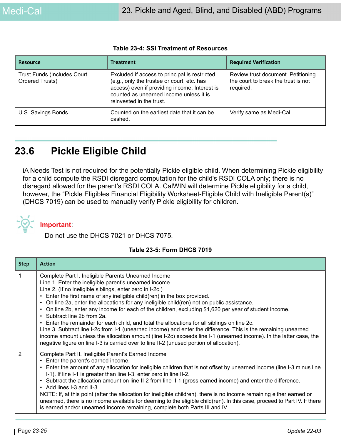| <b>Resource</b>                                | <b>Treatment</b>                                                                                                                                                                                                    | <b>Required Verification</b>                                                           |
|------------------------------------------------|---------------------------------------------------------------------------------------------------------------------------------------------------------------------------------------------------------------------|----------------------------------------------------------------------------------------|
| Trust Funds (Includes Court<br>Ordered Trusts) | Excluded if access to principal is restricted<br>(e.g., only the trustee or court, etc. has<br>access) even if providing income. Interest is<br>counted as unearned income unless it is<br>reinvested in the trust. | Review trust document. Petitioning<br>the court to break the trust is not<br>required. |
| U.S. Savings Bonds                             | Counted on the earliest date that it can be<br>cashed.                                                                                                                                                              | Verify same as Medi-Cal.                                                               |

#### **Table 23-4: SSI Treatment of Resources**

## **23.6 Pickle Eligible Child**

iA Needs Test is not required for the potentially Pickle eligible child. When determining Pickle eligibility for a child compute the RSDI disregard computation for the child's RSDI COLA only; there is no disregard allowed for the parent's RSDI COLA. CalWIN will determine Pickle eligibility for a child, however, the "Pickle Eligibles Financial Eligibility Worksheet-Eligible Child with Ineligible Parent(s)" (DHCS 7019) can be used to manually verify Pickle eligibility for children.



#### **Important**:

Do not use the DHCS 7021 or DHCS 7075.

#### **Table 23-5: Form DHCS 7019**

| <b>Step</b> | <b>Action</b>                                                                                                                                                                                                                                                                                                                                                                                                                                                                                                                                                                                                                                                                                                                                                                                                                                                                                                               |
|-------------|-----------------------------------------------------------------------------------------------------------------------------------------------------------------------------------------------------------------------------------------------------------------------------------------------------------------------------------------------------------------------------------------------------------------------------------------------------------------------------------------------------------------------------------------------------------------------------------------------------------------------------------------------------------------------------------------------------------------------------------------------------------------------------------------------------------------------------------------------------------------------------------------------------------------------------|
| 1           | Complete Part I. Ineligible Parents Unearned Income<br>Line 1. Enter the ineligible parent's unearned income.<br>Line 2. (If no ineligible siblings, enter zero in I-2c.)<br>Enter the first name of any ineligible child(ren) in the box provided.<br>On line 2a, enter the allocations for any ineligible child(ren) not on public assistance.<br>On line 2b, enter any income for each of the children, excluding \$1,620 per year of student income.<br>• Subtract line 2b from 2a.<br>• Enter the remainder for each child, and total the allocations for all siblings on line 2c.<br>Line 3. Subtract line I-2c from I-1 (unearned income) and enter the difference. This is the remaining unearned<br>income amount unless the allocation amount (line I-2c) exceeds line I-1 (unearned income). In the latter case, the<br>negative figure on line I-3 is carried over to line II-2 (unused portion of allocation). |
| 2           | Complete Part II. Ineligible Parent's Earned Income<br>• Enter the parent's earned income.<br>• Enter the amount of any allocation for ineligible children that is not offset by unearned income (line I-3 minus line<br>I-1). If line I-1 is greater than line I-3, enter zero in line II-2.<br>• Subtract the allocation amount on line II-2 from line II-1 (gross earned income) and enter the difference.<br>• Add lines I-3 and II-3.<br>NOTE: If, at this point (after the allocation for ineligible children), there is no income remaining either earned or<br>unearned, there is no income available for deeming to the eligible child(ren). In this case, proceed to Part IV. If there<br>is earned and/or unearned income remaining, complete both Parts III and IV.                                                                                                                                             |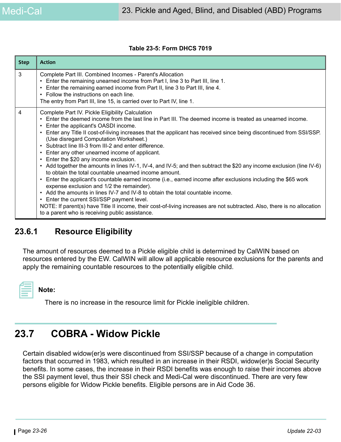#### **Table 23-5: Form DHCS 7019**

| <b>Step</b> | <b>Action</b>                                                                                                                                                                                                                                                                                                                                                                                                                                                                                                                                                                                                                                                                                                                                                                                                                                                                                                                                                                                                                                                                                                                                                                                                                                          |
|-------------|--------------------------------------------------------------------------------------------------------------------------------------------------------------------------------------------------------------------------------------------------------------------------------------------------------------------------------------------------------------------------------------------------------------------------------------------------------------------------------------------------------------------------------------------------------------------------------------------------------------------------------------------------------------------------------------------------------------------------------------------------------------------------------------------------------------------------------------------------------------------------------------------------------------------------------------------------------------------------------------------------------------------------------------------------------------------------------------------------------------------------------------------------------------------------------------------------------------------------------------------------------|
| 3           | Complete Part III. Combined Incomes - Parent's Allocation<br>• Enter the remaining unearned income from Part I, line 3 to Part III, line 1.<br>Enter the remaining earned income from Part II, line 3 to Part III, line 4.<br>• Follow the instructions on each line.<br>The entry from Part III, line 15, is carried over to Part IV, line 1.                                                                                                                                                                                                                                                                                                                                                                                                                                                                                                                                                                                                                                                                                                                                                                                                                                                                                                         |
| 4           | Complete Part IV. Pickle Eligibility Calculation<br>. Enter the deemed income from the last line in Part III. The deemed income is treated as unearned income.<br>• Enter the applicant's OASDI income.<br>Enter any Title II cost-of-living increases that the applicant has received since being discontinued from SSI/SSP.<br>$\bullet$<br>(Use disregard Computation Worksheet.)<br>Subtract line III-3 from III-2 and enter difference.<br>$\bullet$<br>Enter any other unearned income of applicant.<br>$\bullet$<br>• Enter the \$20 any income exclusion.<br>Add together the amounts in lines IV-1, IV-4, and IV-5; and then subtract the \$20 any income exclusion (line IV-6)<br>$\bullet$<br>to obtain the total countable unearned income amount.<br>Enter the applicant's countable earned income (i.e., earned income after exclusions including the \$65 work<br>$\bullet$<br>expense exclusion and 1/2 the remainder).<br>• Add the amounts in lines IV-7 and IV-8 to obtain the total countable income.<br>• Enter the current SSI/SSP payment level.<br>NOTE: If parent(s) have Title II income, their cost-of-living increases are not subtracted. Also, there is no allocation<br>to a parent who is receiving public assistance. |

### **23.6.1 Resource Eligibility**

The amount of resources deemed to a Pickle eligible child is determined by CalWIN based on resources entered by the EW. CalWIN will allow all applicable resource exclusions for the parents and apply the remaining countable resources to the potentially eligible child.

**Note:** 

There is no increase in the resource limit for Pickle ineligible children.

## **23.7 COBRA - Widow Pickle**

Certain disabled widow(er)s were discontinued from SSI/SSP because of a change in computation factors that occurred in 1983, which resulted in an increase in their RSDI, widow(er)s Social Security benefits. In some cases, the increase in their RSDI benefits was enough to raise their incomes above the SSI payment level, thus their SSI check and Medi-Cal were discontinued. There are very few persons eligible for Widow Pickle benefits. Eligible persons are in Aid Code 36.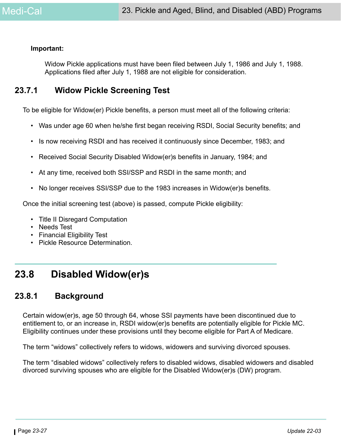#### **Important:**

Widow Pickle applications must have been filed between July 1, 1986 and July 1, 1988. Applications filed after July 1, 1988 are not eligible for consideration.

### **23.7.1 Widow Pickle Screening Test**

To be eligible for Widow(er) Pickle benefits, a person must meet all of the following criteria:

- Was under age 60 when he/she first began receiving RSDI, Social Security benefits; and
- Is now receiving RSDI and has received it continuously since December, 1983; and
- Received Social Security Disabled Widow(er)s benefits in January, 1984; and
- At any time, received both SSI/SSP and RSDI in the same month; and
- No longer receives SSI/SSP due to the 1983 increases in Widow(er)s benefits.

Once the initial screening test (above) is passed, compute Pickle eligibility:

- Title II Disregard Computation
- Needs Test
- Financial Eligibility Test
- Pickle Resource Determination.

## **23.8 Disabled Widow(er)s**

### **23.8.1 Background**

Certain widow(er)s, age 50 through 64, whose SSI payments have been discontinued due to entitlement to, or an increase in, RSDI widow(er)s benefits are potentially eligible for Pickle MC. Eligibility continues under these provisions until they become eligible for Part A of Medicare.

The term "widows" collectively refers to widows, widowers and surviving divorced spouses.

The term "disabled widows" collectively refers to disabled widows, disabled widowers and disabled divorced surviving spouses who are eligible for the Disabled Widow(er)s (DW) program.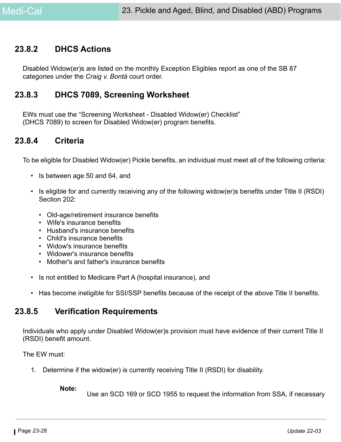### **23.8.2 DHCS Actions**

Disabled Widow(er)s are listed on the monthly Exception Eligibles report as one of the SB 87 categories under the *Craig v. Bontá* court order.

### **23.8.3 DHCS 7089, Screening Worksheet**

EWs must use the "Screening Worksheet - Disabled Widow(er) Checklist" (DHCS 7089) to screen for Disabled Widow(er) program benefits.

### **23.8.4 Criteria**

To be eligible for Disabled Widow(er) Pickle benefits, an individual must meet all of the following criteria:

- Is between age 50 and 64, and
- Is eligible for and currently receiving any of the following widow(er)s benefits under Title II (RSDI) Section 202:
	- Old-age/retirement insurance benefits
	- Wife's insurance benefits
	- Husband's insurance benefits
	- Child's insurance benefits
	- Widow's insurance benefits
	- Widower's insurance benefits
	- Mother's and father's insurance benefits
- Is not entitled to Medicare Part A (hospital insurance), and
- Has become ineligible for SSI/SSP benefits because of the receipt of the above Title II benefits.

### **23.8.5 Verification Requirements**

Individuals who apply under Disabled Widow(er)s provision must have evidence of their current Title II (RSDI) benefit amount.

The EW must:

1. Determine if the widow(er) is currently receiving Title II (RSDI) for disability.

**Note:**

Use an SCD 169 or SCD 1955 to request the information from SSA, if necessary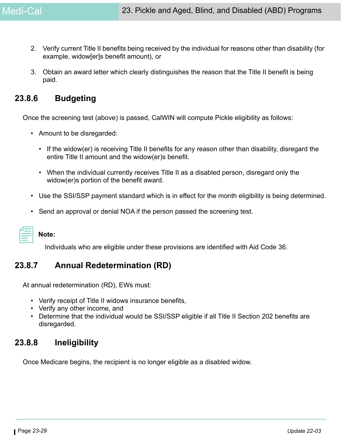- 2. Verify current Title II benefits being received by the individual for reasons other than disability (for example, widow[er]s benefit amount), or
- 3. Obtain an award letter which clearly distinguishes the reason that the Title II benefit is being paid.

### **23.8.6 Budgeting**

Once the screening test (above) is passed, CalWIN will compute Pickle eligibility as follows:

- Amount to be disregarded:
	- If the widow(er) is receiving Title II benefits for any reason other than disability, disregard the entire Title II amount and the widow(er)s benefit.
	- When the individual currently receives Title II as a disabled person, disregard only the widow(er)s portion of the benefit award.
- Use the SSI/SSP payment standard which is in effect for the month eligibility is being determined.
- Send an approval or denial NOA if the person passed the screening test.

## **Note:**

Individuals who are eligible under these provisions are identified with Aid Code 36.

### **23.8.7 Annual Redetermination (RD)**

At annual redetermination (RD), EWs must:

- Verify receipt of Title II widows insurance benefits,
- Verify any other income, and
- Determine that the individual would be SSI/SSP eligible if all Title II Section 202 benefits are disregarded.

### **23.8.8 Ineligibility**

Once Medicare begins, the recipient is no longer eligible as a disabled widow.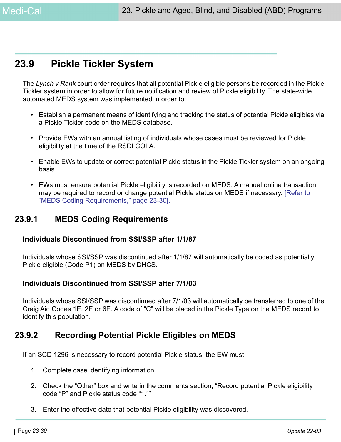## <span id="page-29-0"></span>**23.9 Pickle Tickler System**

The *Lynch v Rank* court order requires that all potential Pickle eligible persons be recorded in the Pickle Tickler system in order to allow for future notification and review of Pickle eligibility. The state-wide automated MEDS system was implemented in order to:

- Establish a permanent means of identifying and tracking the status of potential Pickle eligibles via a Pickle Tickler code on the MEDS database.
- Provide EWs with an annual listing of individuals whose cases must be reviewed for Pickle eligibility at the time of the RSDI COLA.
- Enable EWs to update or correct potential Pickle status in the Pickle Tickler system on an ongoing basis.
- EWs must ensure potential Pickle eligibility is recorded on MEDS. A manual online transaction may be required to record or change potential Pickle status on MEDS if necessary. [\[Refer to](#page-29-1)  ["MEDS Coding Requirements," page 23-30\]](#page-29-1).

### <span id="page-29-1"></span>**23.9.1 MEDS Coding Requirements**

#### **Individuals Discontinued from SSI/SSP after 1/1/87**

Individuals whose SSI/SSP was discontinued after 1/1/87 will automatically be coded as potentially Pickle eligible (Code P1) on MEDS by DHCS.

#### **Individuals Discontinued from SSI/SSP after 7/1/03**

Individuals whose SSI/SSP was discontinued after 7/1/03 will automatically be transferred to one of the Craig Aid Codes 1E, 2E or 6E. A code of "C" will be placed in the Pickle Type on the MEDS record to identify this population.

### **23.9.2 Recording Potential Pickle Eligibles on MEDS**

If an SCD 1296 is necessary to record potential Pickle status, the EW must:

- 1. Complete case identifying information.
- 2. Check the "Other" box and write in the comments section, "Record potential Pickle eligibility code "P" and Pickle status code "1.""
- 3. Enter the effective date that potential Pickle eligibility was discovered.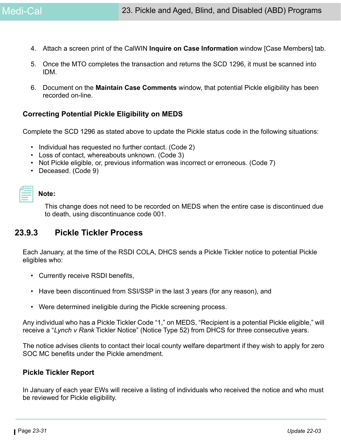- 4. Attach a screen print of the CalWIN **Inquire on Case Information** window [Case Members] tab.
- 5. Once the MTO completes the transaction and returns the SCD 1296, it must be scanned into IDM.
- 6. Document on the **Maintain Case Comments** window, that potential Pickle eligibility has been recorded on-line.

#### **Correcting Potential Pickle Eligibility on MEDS**

Complete the SCD 1296 as stated above to update the Pickle status code in the following situations:

- Individual has requested no further contact. (Code 2)
- Loss of contact, whereabouts unknown. (Code 3)
- Not Pickle eligible, or, previous information was incorrect or erroneous. (Code 7)
- Deceased. (Code 9)

#### **Note:**

This change does not need to be recorded on MEDS when the entire case is discontinued due to death, using discontinuance code 001.

### **23.9.3 Pickle Tickler Process**

Each January, at the time of the RSDI COLA, DHCS sends a Pickle Tickler notice to potential Pickle eligibles who:

- Currently receive RSDI benefits,
- Have been discontinued from SSI/SSP in the last 3 years (for any reason), and
- Were determined ineligible during the Pickle screening process.

Any individual who has a Pickle Tickler Code "1," on MEDS, "Recipient is a potential Pickle eligible," will receive a "*Lynch v Rank* Tickler Notice" (Notice Type 52) from DHCS for three consecutive years.

The notice advises clients to contact their local county welfare department if they wish to apply for zero SOC MC benefits under the Pickle amendment.

#### **Pickle Tickler Report**

In January of each year EWs will receive a listing of individuals who received the notice and who must be reviewed for Pickle eligibility.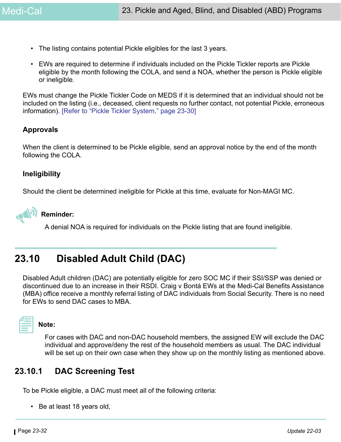- The listing contains potential Pickle eligibles for the last 3 years.
- EWs are required to determine if individuals included on the Pickle Tickler reports are Pickle eligible by the month following the COLA, and send a NOA, whether the person is Pickle eligible or ineligible.

EWs must change the Pickle Tickler Code on MEDS if it is determined that an individual should not be included on the listing (i.e., deceased, client requests no further contact, not potential Pickle, erroneous information). [\[Refer to "Pickle Tickler System," page 23-30\]](#page-29-0)

#### **Approvals**

When the client is determined to be Pickle eligible, send an approval notice by the end of the month following the COLA.

#### **Ineligibility**

Should the client be determined ineligible for Pickle at this time, evaluate for Non-MAGI MC.



A denial NOA is required for individuals on the Pickle listing that are found ineligible.

## **23.10 Disabled Adult Child (DAC)**

Disabled Adult children (DAC) are potentially eligible for zero SOC MC if their SSI/SSP was denied or discontinued due to an increase in their RSDI. Craig v Bontá EWs at the Medi-Cal Benefits Assistance (MBA) office receive a monthly referral listing of DAC individuals from Social Security. There is no need for EWs to send DAC cases to MBA.



**Note:** 

For cases with DAC and non-DAC household members, the assigned EW will exclude the DAC individual and approve/deny the rest of the household members as usual. The DAC individual will be set up on their own case when they show up on the monthly listing as mentioned above.

### **23.10.1 DAC Screening Test**

To be Pickle eligible, a DAC must meet all of the following criteria:

• Be at least 18 years old,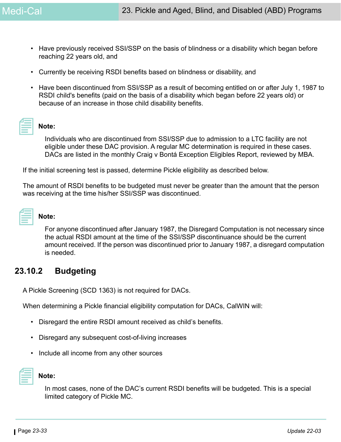- Have previously received SSI/SSP on the basis of blindness or a disability which began before reaching 22 years old, and
- Currently be receiving RSDI benefits based on blindness or disability, and
- Have been discontinued from SSI/SSP as a result of becoming entitled on or after July 1, 1987 to RSDI child's benefits (paid on the basis of a disability which began before 22 years old) or because of an increase in those child disability benefits.

### **Note:**

Individuals who are discontinued from SSI/SSP due to admission to a LTC facility are not eligible under these DAC provision. A regular MC determination is required in these cases. DACs are listed in the monthly Craig v Bontá Exception Eligibles Report, reviewed by MBA.

If the initial screening test is passed, determine Pickle eligibility as described below.

The amount of RSDI benefits to be budgeted must never be greater than the amount that the person was receiving at the time his/her SSI/SSP was discontinued.

| ________ |  |
|----------|--|

#### **Note:**

For anyone discontinued after January 1987, the Disregard Computation is not necessary since the actual RSDI amount at the time of the SSI/SSP discontinuance should be the current amount received. If the person was discontinued prior to January 1987, a disregard computation is needed.

### **23.10.2 Budgeting**

A Pickle Screening (SCD 1363) is not required for DACs.

When determining a Pickle financial eligibility computation for DACs, CalWIN will:

- Disregard the entire RSDI amount received as child's benefits.
- Disregard any subsequent cost-of-living increases
- Include all income from any other sources



#### **Note:**

In most cases, none of the DAC's current RSDI benefits will be budgeted. This is a special limited category of Pickle MC.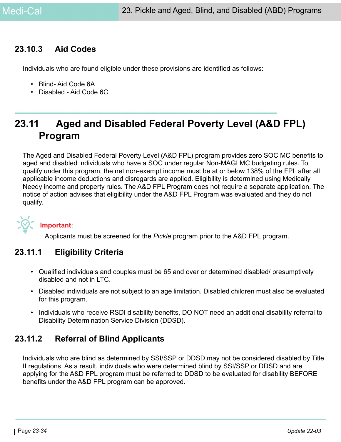### **23.10.3 Aid Codes**

Individuals who are found eligible under these provisions are identified as follows:

- Blind- Aid Code 6A
- Disabled Aid Code 6C

## **23.11 Aged and Disabled Federal Poverty Level (A&D FPL) Program**

The Aged and Disabled Federal Poverty Level (A&D FPL) program provides zero SOC MC benefits to aged and disabled individuals who have a SOC under regular Non-MAGI MC budgeting rules. To qualify under this program, the net non-exempt income must be at or below 138% of the FPL after all applicable income deductions and disregards are applied. Eligibility is determined using Medically Needy income and property rules. The A&D FPL Program does not require a separate application. The notice of action advises that eligibility under the A&D FPL Program was evaluated and they do not qualify.



### **Important**:

Applicants must be screened for the *Pickle* program prior to the A&D FPL program.

### **23.11.1 Eligibility Criteria**

- Qualified individuals and couples must be 65 and over or determined disabled/ presumptively disabled and not in LTC.
- Disabled individuals are not subject to an age limitation. Disabled children must also be evaluated for this program.
- Individuals who receive RSDI disability benefits, DO NOT need an additional disability referral to Disability Determination Service Division (DDSD).

### **23.11.2 Referral of Blind Applicants**

Individuals who are blind as determined by SSI/SSP or DDSD may not be considered disabled by Title II regulations. As a result, individuals who were determined blind by SSI/SSP or DDSD and are applying for the A&D FPL program must be referred to DDSD to be evaluated for disability BEFORE benefits under the A&D FPL program can be approved.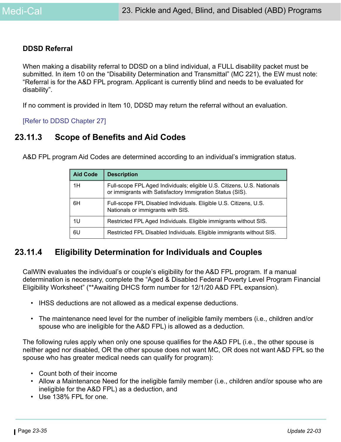#### **DDSD Referral**

When making a disability referral to DDSD on a blind individual, a FULL disability packet must be submitted. In item 10 on the "Disability Determination and Transmittal" (MC 221), the EW must note: "Referral is for the A&D FPL program. Applicant is currently blind and needs to be evaluated for disability".

If no comment is provided in Item 10, DDSD may return the referral without an evaluation.

[Refer to DDSD Chapter 27]

### **23.11.3 Scope of Benefits and Aid Codes**

A&D FPL program Aid Codes are determined according to an individual's immigration status.

| <b>Aid Code</b> | <b>Description</b>                                                                                                                   |
|-----------------|--------------------------------------------------------------------------------------------------------------------------------------|
| 1H              | Full-scope FPL Aged Individuals; eligible U.S. Citizens, U.S. Nationals<br>or immigrants with Satisfactory Immigration Status (SIS). |
| 6H              | Full-scope FPL Disabled Individuals. Eligible U.S. Citizens, U.S.<br>Nationals or immigrants with SIS.                               |
| 1U              | Restricted FPL Aged Individuals. Eligible immigrants without SIS.                                                                    |
| 6U              | Restricted FPL Disabled Individuals. Eligible immigrants without SIS.                                                                |

### **23.11.4 Eligibility Determination for Individuals and Couples**

CalWIN evaluates the individual's or couple's eligibility for the A&D FPL program. If a manual determination is necessary, complete the "Aged & Disabled Federal Poverty Level Program Financial Eligibility Worksheet" (\*\*Awaiting DHCS form number for 12/1/20 A&D FPL expansion).

- IHSS deductions are not allowed as a medical expense deductions.
- The maintenance need level for the number of ineligible family members (i.e., children and/or spouse who are ineligible for the A&D FPL) is allowed as a deduction.

The following rules apply when only one spouse qualifies for the A&D FPL (i.e., the other spouse is neither aged nor disabled, OR the other spouse does not want MC, OR does not want A&D FPL so the spouse who has greater medical needs can qualify for program):

- Count both of their income
- Allow a Maintenance Need for the ineligible family member (i.e., children and/or spouse who are ineligible for the A&D FPL) as a deduction, and
- Use 138% FPL for one.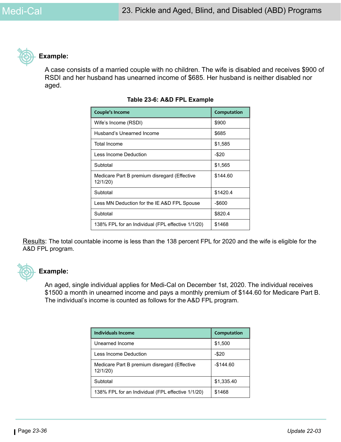

#### **Example:**

A case consists of a married couple with no children. The wife is disabled and receives \$900 of RSDI and her husband has unearned income of \$685. Her husband is neither disabled nor aged.

| Couple's Income                                          | Computation |
|----------------------------------------------------------|-------------|
| Wife's Income (RSDI)                                     | \$900       |
| Husband's Unearned Income                                | \$685       |
| Total Income                                             | \$1,585     |
| Less Income Deduction                                    | -\$20       |
| Subtotal                                                 | \$1,565     |
| Medicare Part B premium disregard (Effective<br>12/1/20) | \$144.60    |
| Subtotal                                                 | \$1420.4    |
| Less MN Deduction for the IE A&D FPL Spouse              | -\$600      |
| Subtotal                                                 | \$820.4     |
| 138% FPL for an Individual (FPL effective 1/1/20)        | \$1468      |

#### **Table 23-6: A&D FPL Example**

Results: The total countable income is less than the 138 percent FPL for 2020 and the wife is eligible for the A&D FPL program.



#### **Example:**

An aged, single individual applies for Medi-Cal on December 1st, 2020. The individual receives \$1500 a month in unearned income and pays a monthly premium of \$144.60 for Medicare Part B. The individual's income is counted as follows for the A&D FPL program.

| Individuals Income                                      | Computation  |
|---------------------------------------------------------|--------------|
| Unearned Income                                         | \$1,500      |
| Less Income Deduction                                   | $-$ \$20     |
| Medicare Part B premium disregard (Effective<br>12/1/20 | $-$ \$144.60 |
| Subtotal                                                | \$1,335.40   |
| 138% FPL for an Individual (FPL effective 1/1/20)       | \$1468       |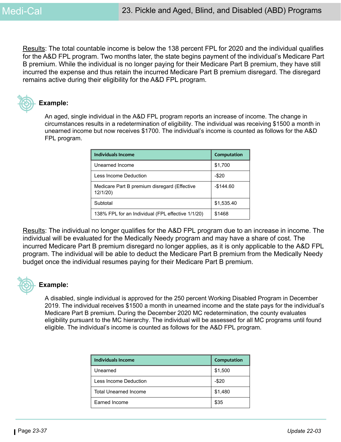Results: The total countable income is below the 138 percent FPL for 2020 and the individual qualifies for the A&D FPL program. Two months later, the state begins payment of the individual's Medicare Part B premium. While the individual is no longer paying for their Medicare Part B premium, they have still incurred the expense and thus retain the incurred Medicare Part B premium disregard. The disregard remains active during their eligibility for the A&D FPL program.



#### **Example:**

An aged, single individual in the A&D FPL program reports an increase of income. The change in circumstances results in a redetermination of eligibility. The individual was receiving \$1500 a month in unearned income but now receives \$1700. The individual's income is counted as follows for the A&D FPL program.

| Individuals Income                                      | Computation |  |
|---------------------------------------------------------|-------------|--|
| Unearned Income                                         | \$1,700     |  |
| Less Income Deduction                                   | $-$ \$20    |  |
| Medicare Part B premium disregard (Effective<br>12/1/20 | $-$144.60$  |  |
| Subtotal                                                | \$1,535.40  |  |
| 138% FPL for an Individual (FPL effective 1/1/20)       | \$1468      |  |

Results: The individual no longer qualifies for the A&D FPL program due to an increase in income. The individual will be evaluated for the Medically Needy program and may have a share of cost. The incurred Medicare Part B premium disregard no longer applies, as it is only applicable to the A&D FPL program. The individual will be able to deduct the Medicare Part B premium from the Medically Needy budget once the individual resumes paying for their Medicare Part B premium.



#### **Example:**

A disabled, single individual is approved for the 250 percent Working Disabled Program in December 2019. The individual receives \$1500 a month in unearned income and the state pays for the individual's Medicare Part B premium. During the December 2020 MC redetermination, the county evaluates eligibility pursuant to the MC hierarchy. The individual will be assessed for all MC programs until found eligible. The individual's income is counted as follows for the A&D FPL program.

| Individuals Income           | Computation |
|------------------------------|-------------|
| Unearned                     | \$1,500     |
| Less Income Deduction        | $-$ \$20    |
| <b>Total Unearned Income</b> | \$1,480     |
| Earned Income                | \$35        |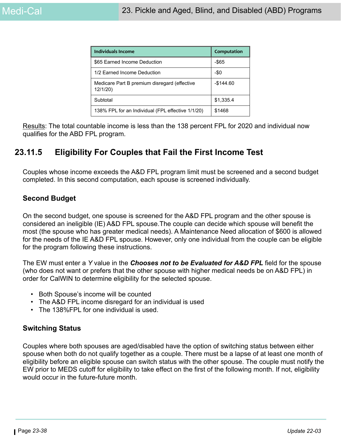| Individuals Income                                      | Computation  |
|---------------------------------------------------------|--------------|
| \$65 Earned Income Deduction                            | $-$ \$65     |
| 1/2 Earned Income Deduction                             | -\$0         |
| Medicare Part B premium disregard (effective<br>12/1/20 | $-$ \$144.60 |
| Subtotal                                                | \$1,335.4    |
| 138% FPL for an Individual (FPL effective 1/1/20)       | \$1468       |

Results: The total countable income is less than the 138 percent FPL for 2020 and individual now qualifies for the ABD FPL program.

### **23.11.5 Eligibility For Couples that Fail the First Income Test**

Couples whose income exceeds the A&D FPL program limit must be screened and a second budget completed. In this second computation, each spouse is screened individually.

### **Second Budget**

On the second budget, one spouse is screened for the A&D FPL program and the other spouse is considered an ineligible (IE) A&D FPL spouse.The couple can decide which spouse will benefit the most (the spouse who has greater medical needs). A Maintenance Need allocation of \$600 is allowed for the needs of the IE A&D FPL spouse. However, only one individual from the couple can be eligible for the program following these instructions.

The EW must enter a *Y* value in the *Chooses not to be Evaluated for A&D FPL* field for the spouse (who does not want or prefers that the other spouse with higher medical needs be on A&D FPL) in order for CalWIN to determine eligibility for the selected spouse.

- Both Spouse's income will be counted
- The A&D FPL income disregard for an individual is used
- The 138%FPL for one individual is used.

#### **Switching Status**

Couples where both spouses are aged/disabled have the option of switching status between either spouse when both do not qualify together as a couple. There must be a lapse of at least one month of eligibility before an eligible spouse can switch status with the other spouse. The couple must notify the EW prior to MEDS cutoff for eligibility to take effect on the first of the following month. If not, eligibility would occur in the future-future month.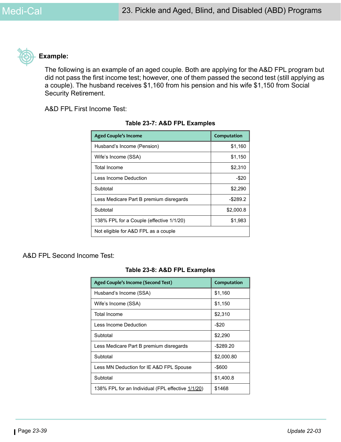

#### **Example:**

The following is an example of an aged couple. Both are applying for the A&D FPL program but did not pass the first income test; however, one of them passed the second test (still applying as a couple). The husband receives \$1,160 from his pension and his wife \$1,150 from Social Security Retirement.

A&D FPL First Income Test:

| <b>Aged Couple's Income</b>              | Computation |  |
|------------------------------------------|-------------|--|
| Husband's Income (Pension)               | \$1,160     |  |
| Wife's Income (SSA)                      | \$1,150     |  |
| Total Income                             | \$2,310     |  |
| Less Income Deduction                    | $-$ \$20    |  |
| Subtotal                                 | \$2,290     |  |
| Less Medicare Part B premium disregards  | $-$ \$289.2 |  |
| Subtotal                                 | \$2,000.8   |  |
| 138% FPL for a Couple (effective 1/1/20) | \$1,983     |  |
| Not eligible for A&D FPL as a couple     |             |  |

#### **Table 23-7: A&D FPL Examples**

#### A&D FPL Second Income Test:

#### **Table 23-8: A&D FPL Examples**

| <b>Aged Couple's Income (Second Test)</b>         | Computation |
|---------------------------------------------------|-------------|
| Husband's Income (SSA)                            | \$1,160     |
| Wife's Income (SSA)                               | \$1,150     |
| <b>Total Income</b>                               | \$2,310     |
| Less Income Deduction                             | $-$ \$20    |
| Subtotal                                          | \$2,290     |
| Less Medicare Part B premium disregards           | -\$289.20   |
| Subtotal                                          | \$2,000.80  |
| Less MN Deduction for IE A&D FPL Spouse           | -\$600      |
| Subtotal                                          | \$1,400.8   |
| 138% FPL for an Individual (FPL effective 1/1/20) | \$1468      |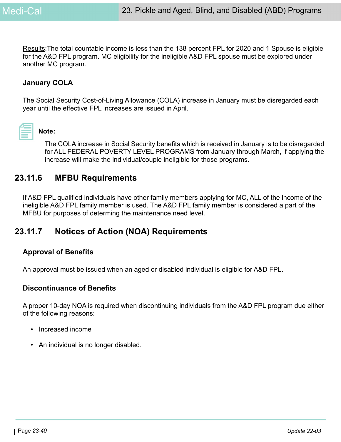Results: The total countable income is less than the 138 percent FPL for 2020 and 1 Spouse is eligible for the A&D FPL program. MC eligibility for the ineligible A&D FPL spouse must be explored under another MC program.

### **January COLA**

The Social Security Cost-of-Living Allowance (COLA) increase in January must be disregarded each year until the effective FPL increases are issued in April.

| <b>Contract Contract Contract Contract Contract Contract Contract Contract Contract Contract Contract Contract Co</b> |  |
|-----------------------------------------------------------------------------------------------------------------------|--|
|                                                                                                                       |  |

### **Note:**

The COLA increase in Social Security benefits which is received in January is to be disregarded for ALL FEDERAL POVERTY LEVEL PROGRAMS from January through March, if applying the increase will make the individual/couple ineligible for those programs.

### **23.11.6 MFBU Requirements**

If A&D FPL qualified individuals have other family members applying for MC, ALL of the income of the ineligible A&D FPL family member is used. The A&D FPL family member is considered a part of the MFBU for purposes of determing the maintenance need level.

### **23.11.7 Notices of Action (NOA) Requirements**

#### **Approval of Benefits**

An approval must be issued when an aged or disabled individual is eligible for A&D FPL.

#### **Discontinuance of Benefits**

A proper 10-day NOA is required when discontinuing individuals from the A&D FPL program due either of the following reasons:

- Increased income
- An individual is no longer disabled.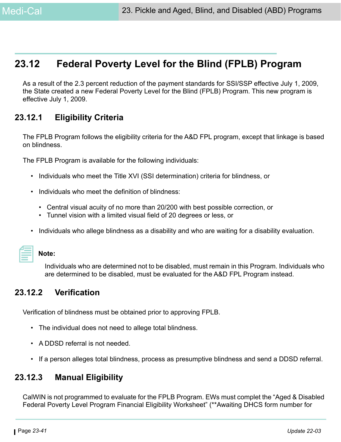## **23.12 Federal Poverty Level for the Blind (FPLB) Program**

As a result of the 2.3 percent reduction of the payment standards for SSI/SSP effective July 1, 2009, the State created a new Federal Poverty Level for the Blind (FPLB) Program. This new program is effective July 1, 2009.

## **23.12.1 Eligibility Criteria**

The FPLB Program follows the eligibility criteria for the A&D FPL program, except that linkage is based on blindness.

The FPLB Program is available for the following individuals:

- Individuals who meet the Title XVI (SSI determination) criteria for blindness, or
- Individuals who meet the definition of blindness:
	- Central visual acuity of no more than 20/200 with best possible correction, or
	- Tunnel vision with a limited visual field of 20 degrees or less, or
- Individuals who allege blindness as a disability and who are waiting for a disability evaluation.

|                                                                                               | ____<br>and the state of the state of the state of the state of the state of the state of the state of the state of th |  |
|-----------------------------------------------------------------------------------------------|------------------------------------------------------------------------------------------------------------------------|--|
|                                                                                               |                                                                                                                        |  |
|                                                                                               |                                                                                                                        |  |
| and the control of the control of the control of the control of the control of the control of |                                                                                                                        |  |
|                                                                                               |                                                                                                                        |  |
|                                                                                               |                                                                                                                        |  |
|                                                                                               |                                                                                                                        |  |

#### **Note:**

Individuals who are determined not to be disabled, must remain in this Program. Individuals who are determined to be disabled, must be evaluated for the A&D FPL Program instead.

### **23.12.2 Verification**

Verification of blindness must be obtained prior to approving FPLB.

- The individual does not need to allege total blindness.
- A DDSD referral is not needed.
- If a person alleges total blindness, process as presumptive blindness and send a DDSD referral.

### **23.12.3 Manual Eligibility**

CalWIN is not programmed to evaluate for the FPLB Program. EWs must complet the "Aged & Disabled Federal Poverty Level Program Financial Eligibility Worksheet" (\*\*Awaiting DHCS form number for